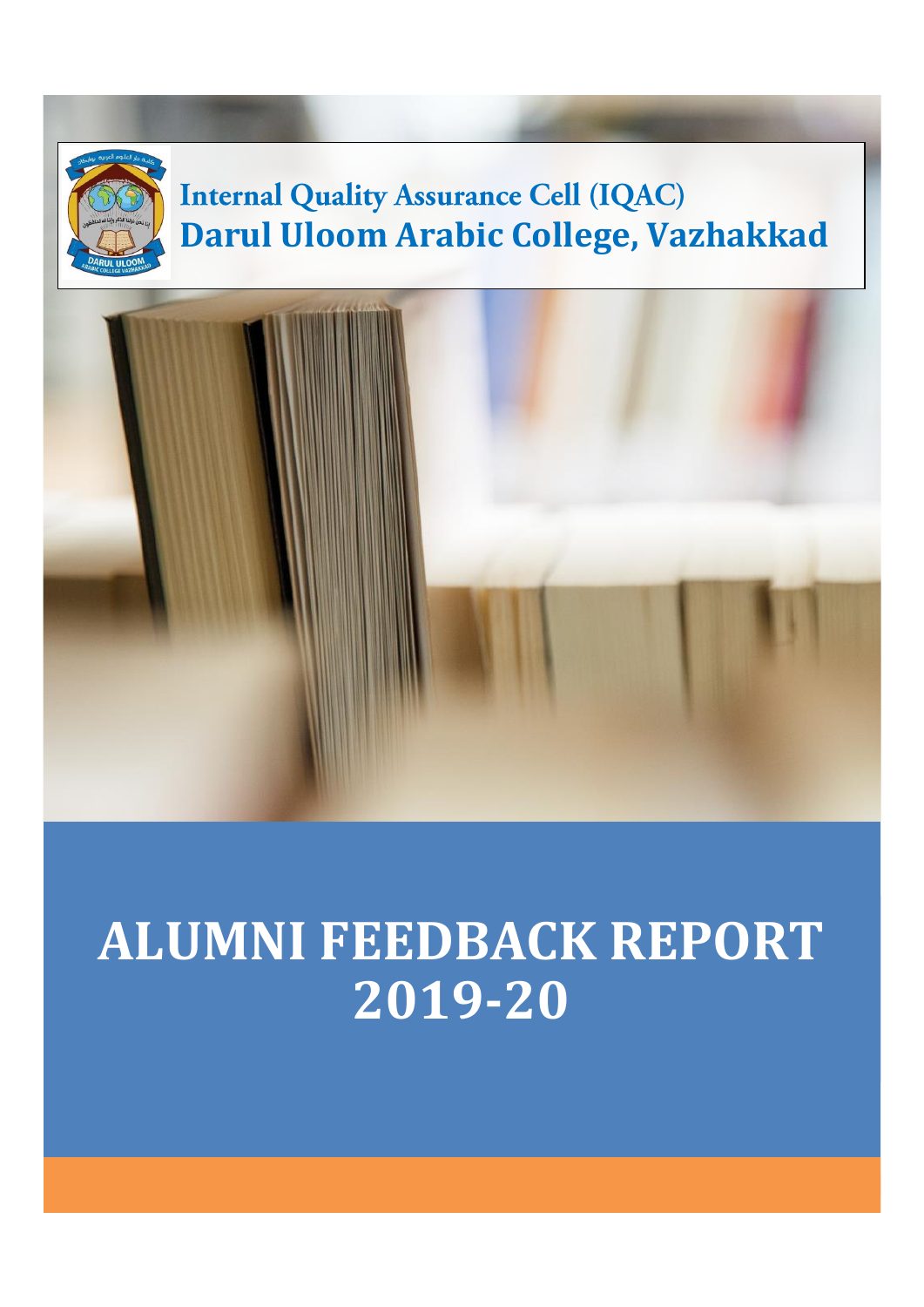

# **ALUMNI FEEDBACK REPORT 2019-20**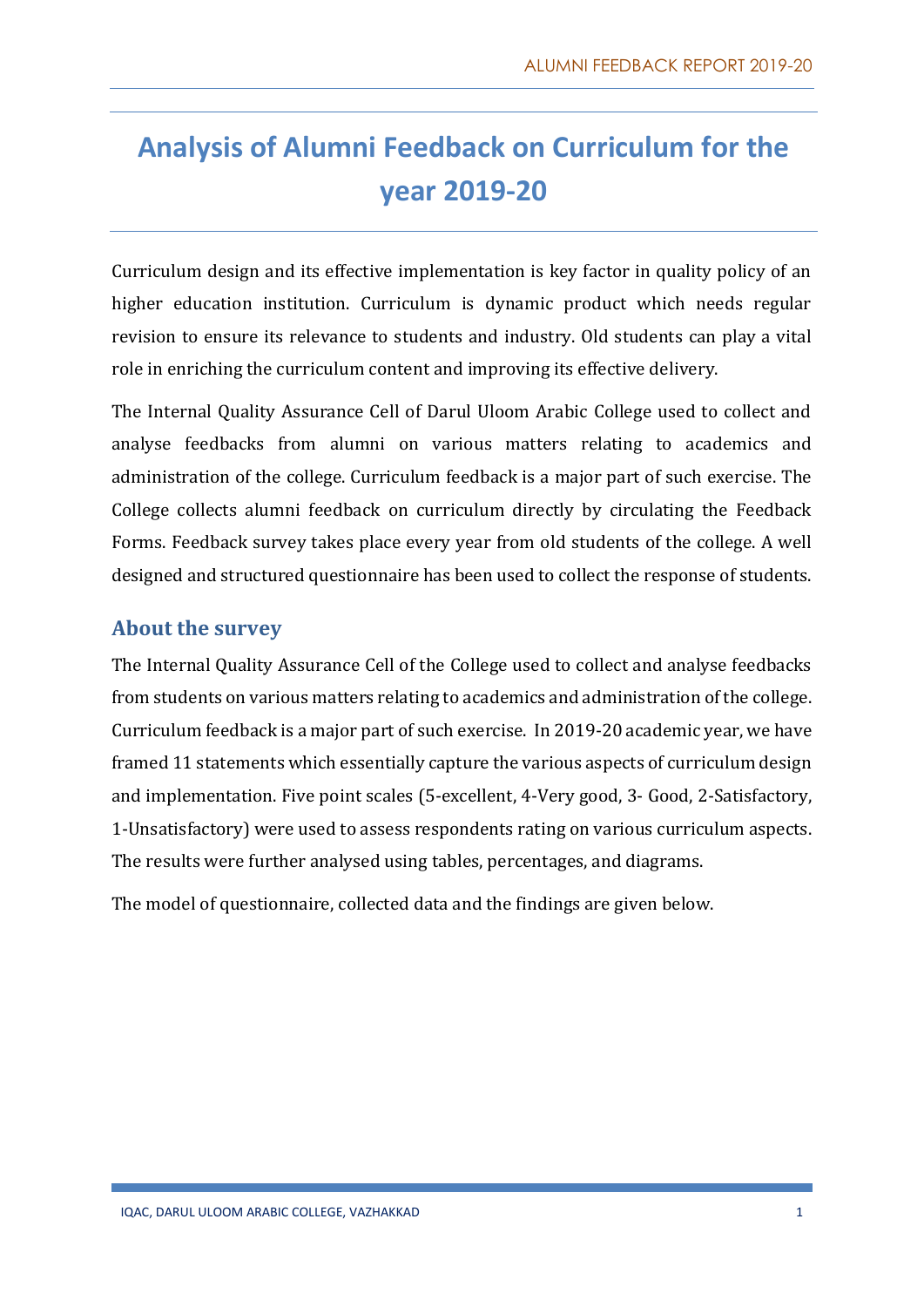## **Analysis of Alumni Feedback on Curriculum for the year 2019-20**

Curriculum design and its effective implementation is key factor in quality policy of an higher education institution. Curriculum is dynamic product which needs regular revision to ensure its relevance to students and industry. Old students can play a vital role in enriching the curriculum content and improving its effective delivery.

The Internal Quality Assurance Cell of Darul Uloom Arabic College used to collect and analyse feedbacks from alumni on various matters relating to academics and administration of the college. Curriculum feedback is a major part of such exercise. The College collects alumni feedback on curriculum directly by circulating the Feedback Forms. Feedback survey takes place every year from old students of the college. A well designed and structured questionnaire has been used to collect the response of students.

#### **About the survey**

The Internal Quality Assurance Cell of the College used to collect and analyse feedbacks from students on various matters relating to academics and administration of the college. Curriculum feedback is a major part of such exercise. In 2019-20 academic year, we have framed 11 statements which essentially capture the various aspects of curriculum design and implementation. Five point scales (5-excellent, 4-Very good, 3- Good, 2-Satisfactory, 1-Unsatisfactory) were used to assess respondents rating on various curriculum aspects. The results were further analysed using tables, percentages, and diagrams.

The model of questionnaire, collected data and the findings are given below.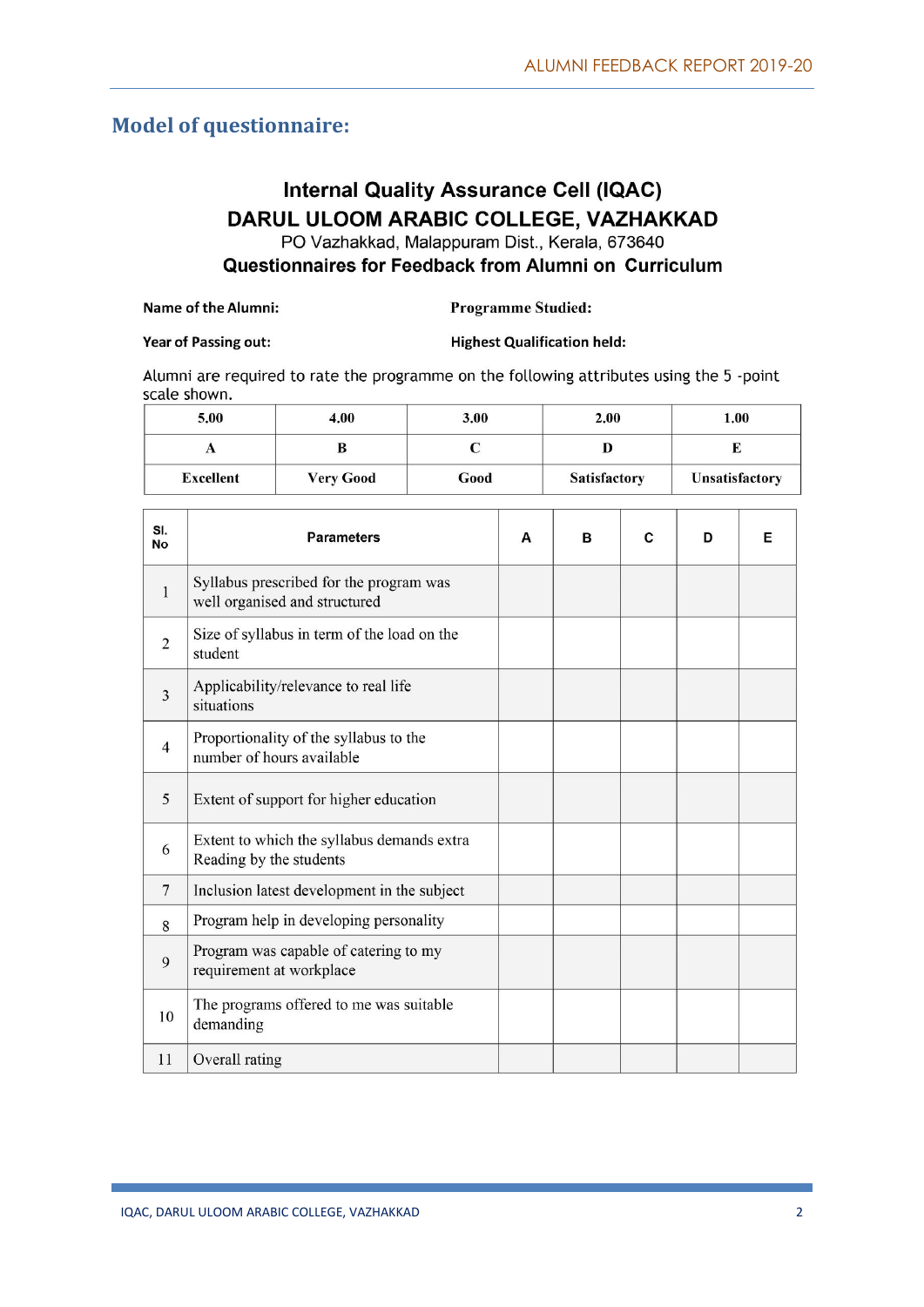#### **Model of questionnaire:**

### **Internal Quality Assurance Cell (IQAC)** DARUL ULOOM ARABIC COLLEGE, VAZHAKKAD

PO Vazhakkad, Malappuram Dist., Kerala, 673640

Questionnaires for Feedback from Alumni on Curriculum

| Name of the Alumni: | <b>Programme Studied:</b> |
|---------------------|---------------------------|
|---------------------|---------------------------|

#### Year of Passing out:

**Highest Qualification held:** 

Alumni are required to rate the programme on the following attributes using the 5 -point scale shown.

| 5.00             | 4.00             | 3.00 | 2.00                | 1.00                  |
|------------------|------------------|------|---------------------|-----------------------|
| v                |                  |      |                     |                       |
| <b>Excellent</b> | <b>Very Good</b> | Good | <b>Satisfactory</b> | <b>Unsatisfactory</b> |

| SI.<br><b>No</b> | <b>Parameters</b>                                                        | A | B | C | D | Е |
|------------------|--------------------------------------------------------------------------|---|---|---|---|---|
| 1                | Syllabus prescribed for the program was<br>well organised and structured |   |   |   |   |   |
| $\overline{2}$   | Size of syllabus in term of the load on the<br>student                   |   |   |   |   |   |
| 3                | Applicability/relevance to real life<br>situations                       |   |   |   |   |   |
| $\overline{4}$   | Proportionality of the syllabus to the<br>number of hours available      |   |   |   |   |   |
| 5                | Extent of support for higher education                                   |   |   |   |   |   |
| 6                | Extent to which the syllabus demands extra<br>Reading by the students    |   |   |   |   |   |
| $\tau$           | Inclusion latest development in the subject                              |   |   |   |   |   |
| 8                | Program help in developing personality                                   |   |   |   |   |   |
| 9                | Program was capable of catering to my<br>requirement at workplace        |   |   |   |   |   |
| 10               | The programs offered to me was suitable<br>demanding                     |   |   |   |   |   |
| 11               | Overall rating                                                           |   |   |   |   |   |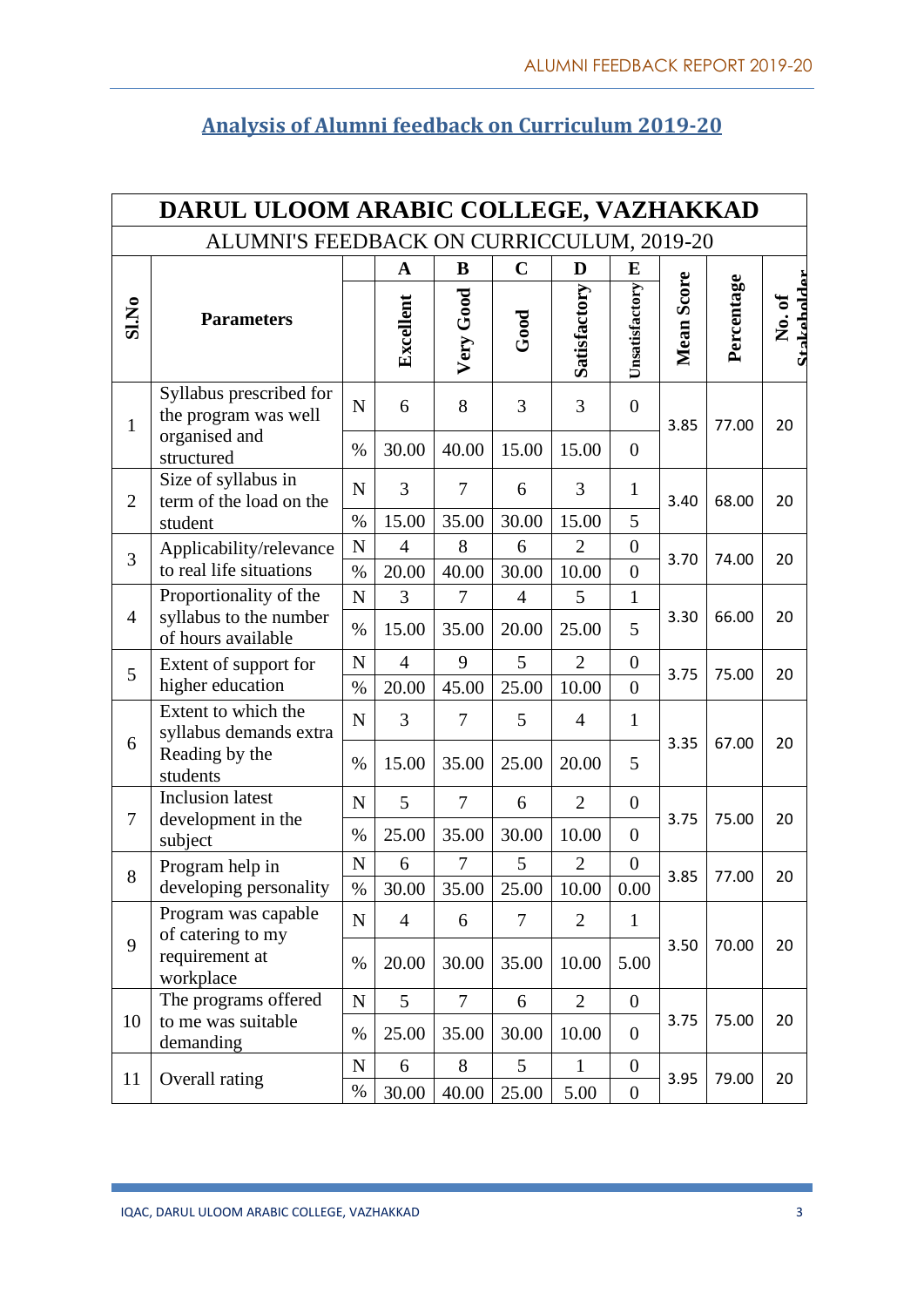|                | DARUL ULOOM ARABIC COLLEGE, VAZHAKKAD           |                |                |                |                    |                |                  |            |            |                      |  |  |  |
|----------------|-------------------------------------------------|----------------|----------------|----------------|--------------------|----------------|------------------|------------|------------|----------------------|--|--|--|
|                | ALUMNI'S FEEDBACK ON CURRICCULUM, 2019-20       |                |                |                |                    |                |                  |            |            |                      |  |  |  |
|                |                                                 |                | $\mathbf A$    | B              | $\mathbf C$        | D              | E                |            |            |                      |  |  |  |
| SI.No          | <b>Parameters</b>                               |                | Excellent      | Very Good      | Good               | Satisfactory   | Unsatisfactory   | Mean Score | Percentage | Stakeholder<br>No.of |  |  |  |
| $\mathbf{1}$   | Syllabus prescribed for<br>the program was well | $\mathbf N$    | 6              | 8              | 3                  | 3              | $\overline{0}$   | 3.85       | 77.00      | 20                   |  |  |  |
|                | organised and<br>structured                     | $\%$           | 30.00          | 40.00          | 15.00              | 15.00          | $\overline{0}$   |            |            |                      |  |  |  |
| $\overline{2}$ | Size of syllabus in<br>term of the load on the  | $\mathbf N$    | 3              | 7              | 6                  | 3              | $\mathbf{1}$     | 3.40       | 68.00      | 20                   |  |  |  |
|                | student                                         | $\%$           | 15.00          | 35.00          | 30.00              | 15.00          | 5                |            |            |                      |  |  |  |
| $\overline{3}$ | Applicability/relevance                         | $\overline{N}$ | $\overline{4}$ | 8              | 6                  | $\overline{2}$ | $\overline{0}$   | 3.70       | 74.00      | 20                   |  |  |  |
|                | to real life situations                         | $\%$           | 20.00          | 40.00          | 30.00              | 10.00          | $\overline{0}$   |            |            |                      |  |  |  |
|                | Proportionality of the                          | $\mathbf N$    | 3              | 7              | $\overline{4}$     | 5              | $\mathbf{1}$     |            |            |                      |  |  |  |
| $\overline{4}$ | syllabus to the number<br>of hours available    | $\%$           | 15.00          | 35.00          | 20.00              | 25.00          | 5                | 3.30       | 66.00      | 20                   |  |  |  |
| 5              | Extent of support for                           | N              | $\overline{4}$ | 9              | 5                  | $\overline{2}$ | $\boldsymbol{0}$ | 3.75       | 75.00      | 20                   |  |  |  |
|                | higher education                                | $\%$           | 20.00          | 45.00          | 25.00              | 10.00          | $\overline{0}$   |            |            |                      |  |  |  |
| 6              | Extent to which the<br>syllabus demands extra   | $\mathbf N$    | 3              | 7              | 5                  | 4              | $\mathbf{1}$     | 3.35       | 67.00      | 20                   |  |  |  |
|                | Reading by the<br>students                      | $\%$           | 15.00          | 35.00          | 25.00              | 20.00          | 5                |            |            |                      |  |  |  |
|                | <b>Inclusion</b> latest                         | $\mathbf N$    | 5              | 7              | 6                  | $\overline{2}$ | $\overline{0}$   |            |            |                      |  |  |  |
| 7              | development in the<br>subject                   | $\%$           | 25.00          | 35.00          | 30.00              | 10.00          | $\overline{0}$   | 3.75       | 75.00      | 20                   |  |  |  |
| 8              | Program help in                                 | ${\bf N}$      | 6              | 7              | 5                  | $\overline{2}$ | $\boldsymbol{0}$ | 3.85       | 77.00      | 20                   |  |  |  |
|                | developing personality                          | $\%$           | 30.00          |                | $35.00 \mid 25.00$ | 10.00          | $0.00\,$         |            |            |                      |  |  |  |
|                | Program was capable<br>of catering to my        | $\mathbf N$    | $\overline{4}$ | 6              | $\overline{7}$     | $\overline{2}$ | $\mathbf{1}$     |            |            |                      |  |  |  |
| 9              | requirement at<br>workplace                     | $\%$           | 20.00          | 30.00          | 35.00              | 10.00          | 5.00             | 3.50       | 70.00      | 20                   |  |  |  |
|                | The programs offered                            | ${\bf N}$      | 5              | $\overline{7}$ | 6                  | $\overline{2}$ | $\boldsymbol{0}$ |            |            |                      |  |  |  |
| 10             | to me was suitable<br>demanding                 | $\%$           | 25.00          | 35.00          | 30.00              | 10.00          | $\boldsymbol{0}$ | 3.75       | 75.00      | 20                   |  |  |  |
| 11             | Overall rating                                  | ${\bf N}$      | 6              | 8              | 5                  | $\mathbf{1}$   | $\boldsymbol{0}$ | 3.95       | 79.00      | 20                   |  |  |  |
|                |                                                 | $\%$           | 30.00          | 40.00          | 25.00              | 5.00           | $\boldsymbol{0}$ |            |            |                      |  |  |  |

## **Analysis of Alumni feedback on Curriculum 2019-20**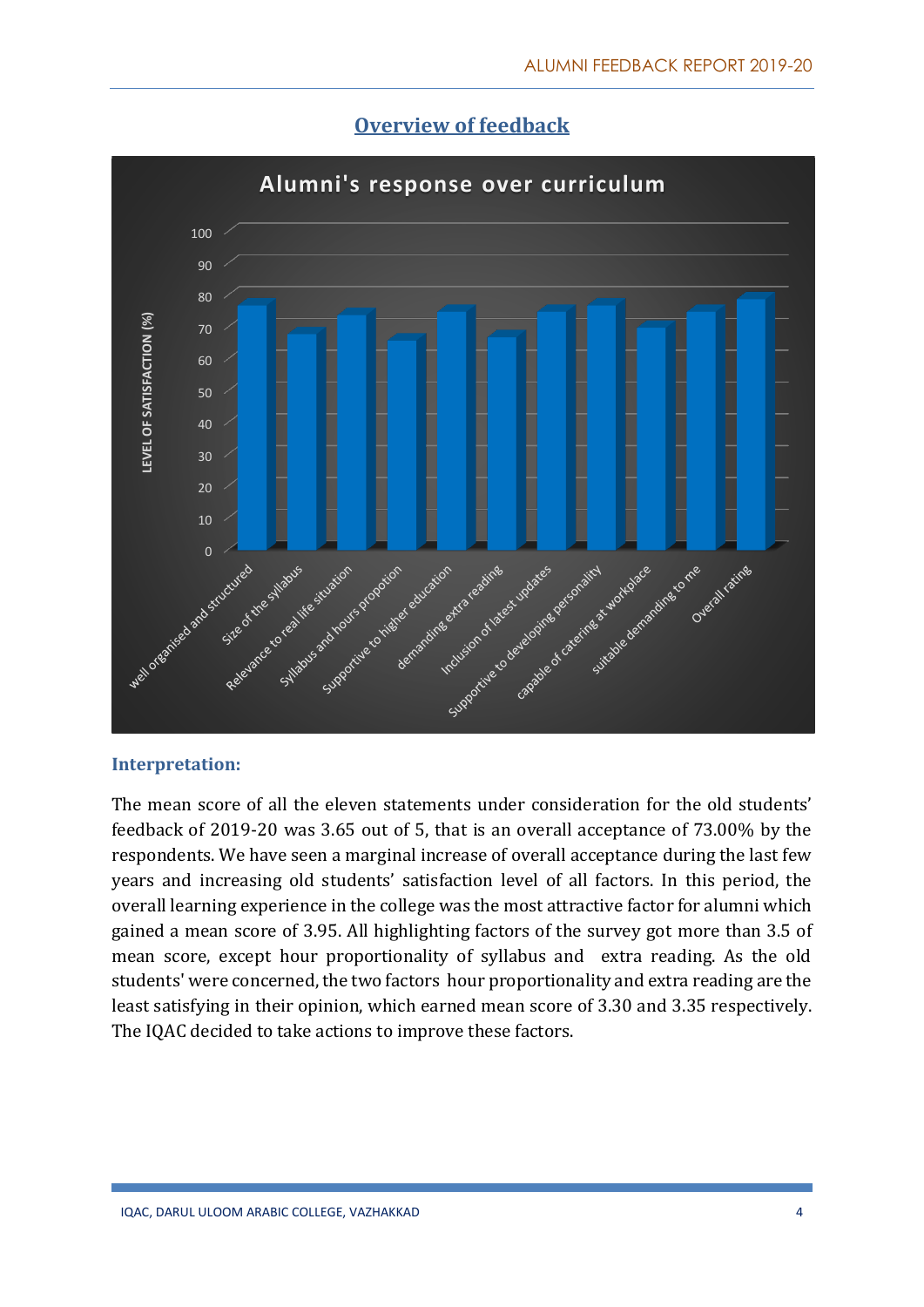



#### **Interpretation:**

The mean score of all the eleven statements under consideration for the old students' feedback of 2019-20 was 3.65 out of 5, that is an overall acceptance of 73.00% by the respondents. We have seen a marginal increase of overall acceptance during the last few years and increasing old students' satisfaction level of all factors. In this period, the overall learning experience in the college was the most attractive factor for alumni which gained a mean score of 3.95. All highlighting factors of the survey got more than 3.5 of mean score, except hour proportionality of syllabus and extra reading. As the old students' were concerned, the two factors hour proportionality and extra reading are the least satisfying in their opinion, which earned mean score of 3.30 and 3.35 respectively. The IQAC decided to take actions to improve these factors.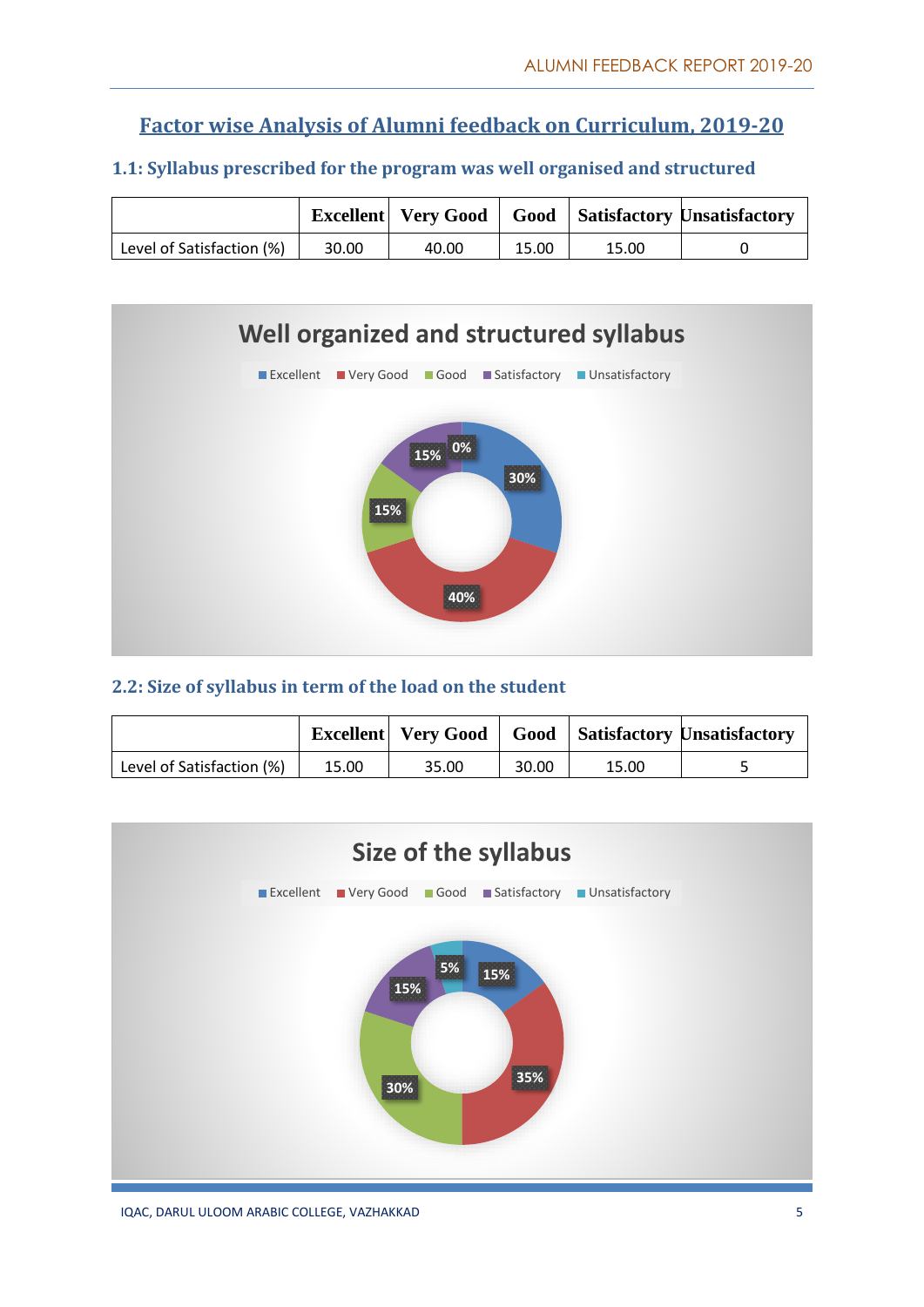#### **Factor wise Analysis of Alumni feedback on Curriculum, 2019-20**

#### **1.1: Syllabus prescribed for the program was well organised and structured**

|                           |       |       |       |       | Excellent   Very Good   Good   Satisfactory Unsatisfactory |
|---------------------------|-------|-------|-------|-------|------------------------------------------------------------|
| Level of Satisfaction (%) | 30.00 | 40.00 | 15.00 | 15.00 |                                                            |



#### **2.2: Size of syllabus in term of the load on the student**

|                           |       |       |       |       | Excellent   Very Good   Good   Satisfactory Unsatisfactory |
|---------------------------|-------|-------|-------|-------|------------------------------------------------------------|
| Level of Satisfaction (%) | 15.00 | 35.00 | 30.00 | 15.00 |                                                            |

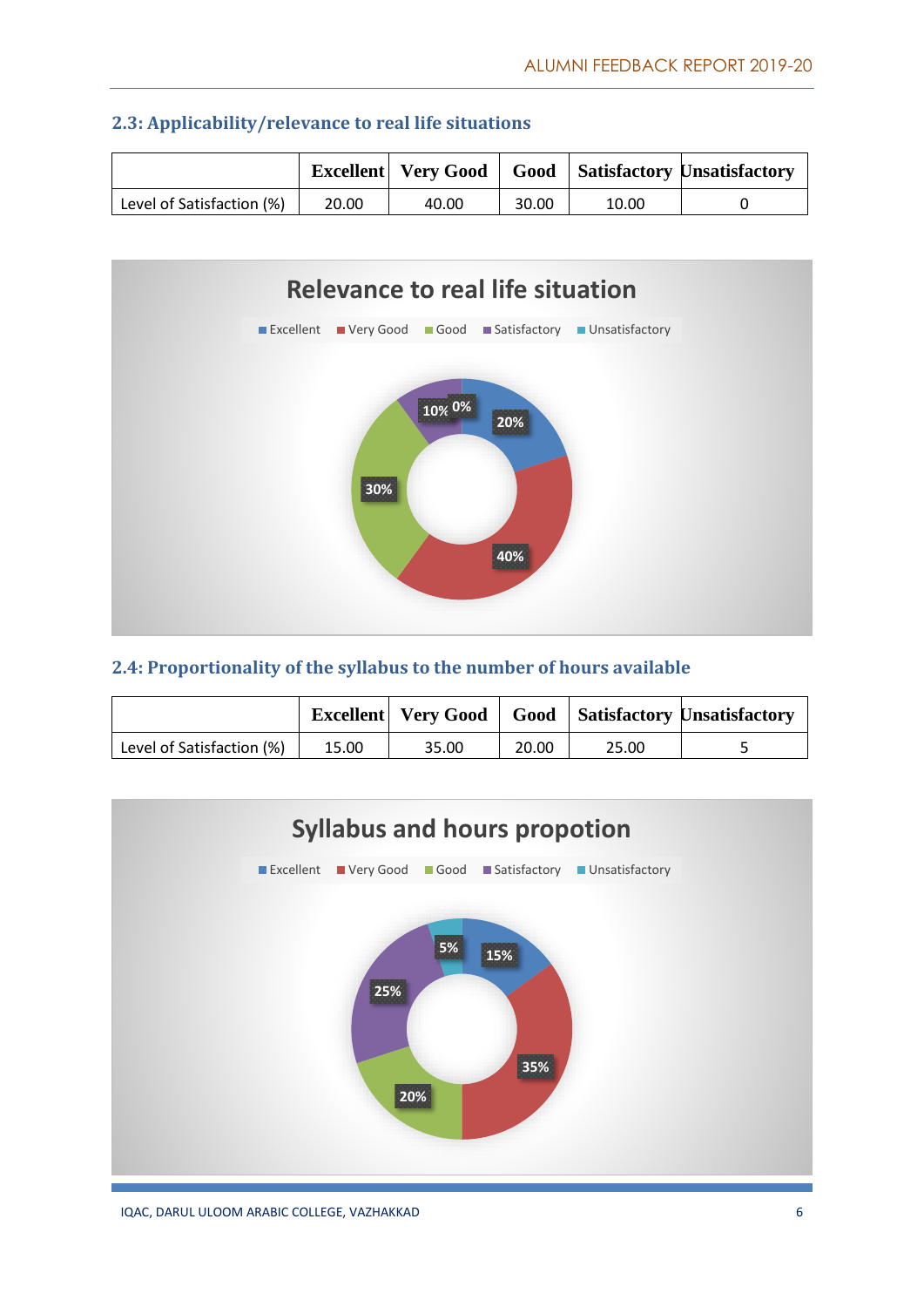|                           |       |       |       |       | <b>Excellent</b>   Very Good   Good   Satisfactory Unsatisfactory |
|---------------------------|-------|-------|-------|-------|-------------------------------------------------------------------|
| Level of Satisfaction (%) | 20.00 | 40.00 | 30.00 | 10.00 |                                                                   |





#### **2.4: Proportionality of the syllabus to the number of hours available**

|                           |       | <b>Excellent</b> Very Good |       |       | <b>Good</b> Satisfactory Unsatisfactory |
|---------------------------|-------|----------------------------|-------|-------|-----------------------------------------|
| Level of Satisfaction (%) | 15.00 | 35.00                      | 20.00 | 25.00 |                                         |

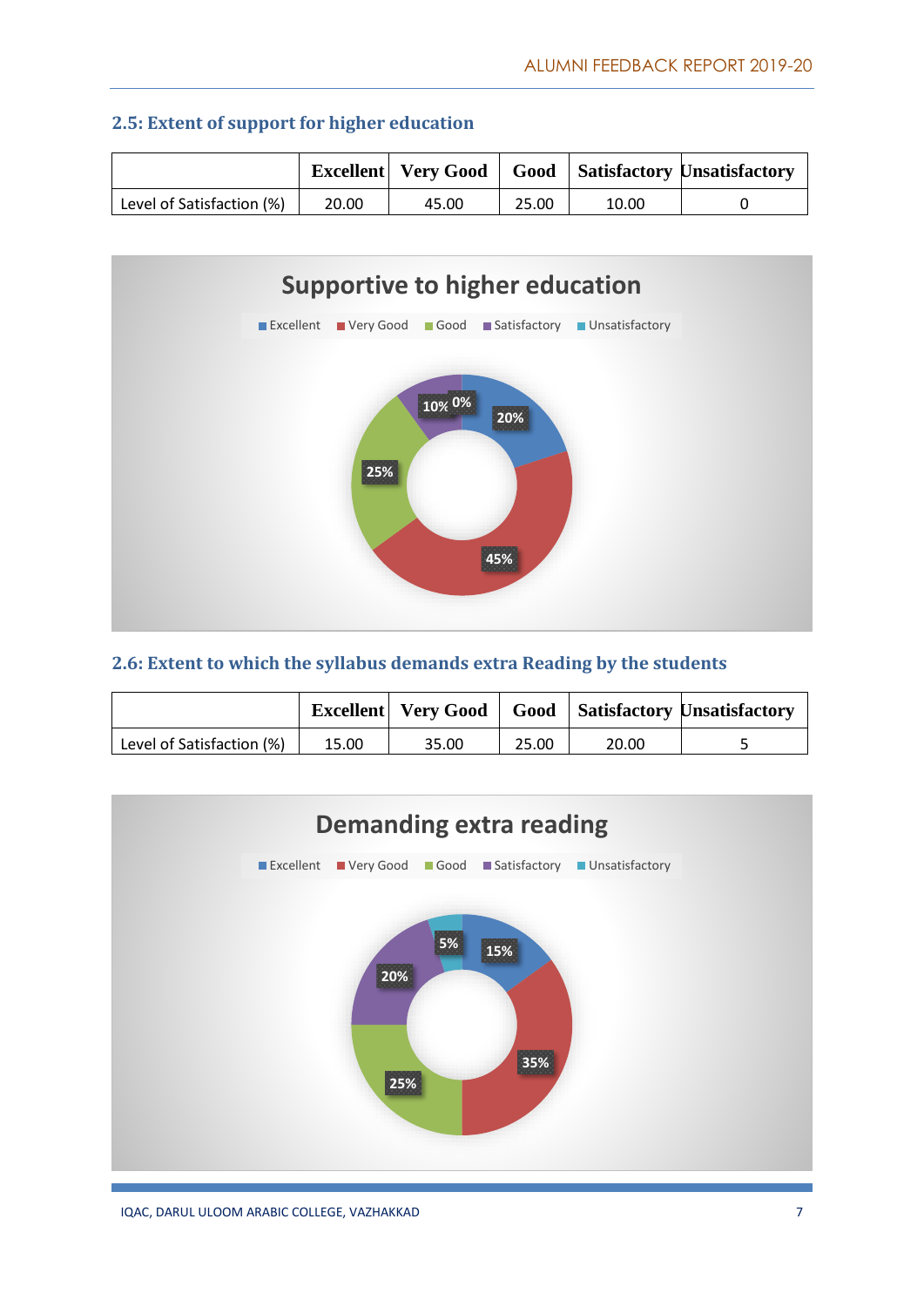|                           |       |       |       |       | <b>Excellent</b> Very Good   Good   Satisfactory Unsatisfactory |
|---------------------------|-------|-------|-------|-------|-----------------------------------------------------------------|
| Level of Satisfaction (%) | 20.00 | 45.00 | 25.00 | 10.00 |                                                                 |

#### **2.5: Extent of support for higher education**



#### **2.6: Extent to which the syllabus demands extra Reading by the students**

|                           |       | Excellent   Very Good |       |       | <b>Good</b> Satisfactory Unsatisfactory |
|---------------------------|-------|-----------------------|-------|-------|-----------------------------------------|
| Level of Satisfaction (%) | 15.00 | 35.00                 | 25.00 | 20.00 |                                         |

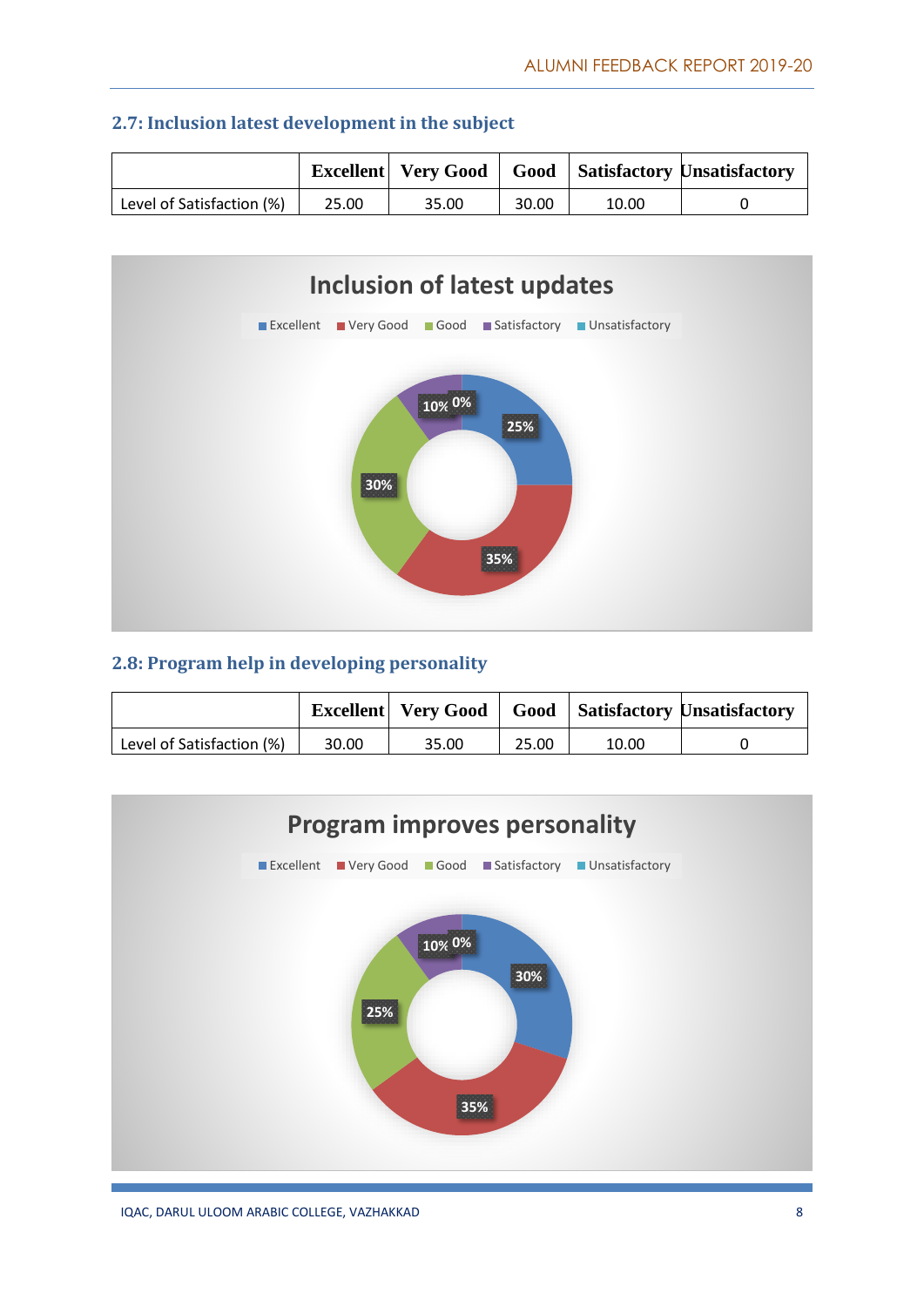|                           |       |       |       |       | <b>Excellent</b>   Very Good   Good   Satisfactory Unsatisfactory |
|---------------------------|-------|-------|-------|-------|-------------------------------------------------------------------|
| Level of Satisfaction (%) | 25.00 | 35.00 | 30.00 | 10.00 |                                                                   |





#### **2.8: Program help in developing personality**

|                           |       | <b>Excellent</b> Very Good |       |       | <b>Good</b> Satisfactory Unsatisfactory |
|---------------------------|-------|----------------------------|-------|-------|-----------------------------------------|
| Level of Satisfaction (%) | 30.00 | 35.00                      | 25.00 | 10.00 |                                         |

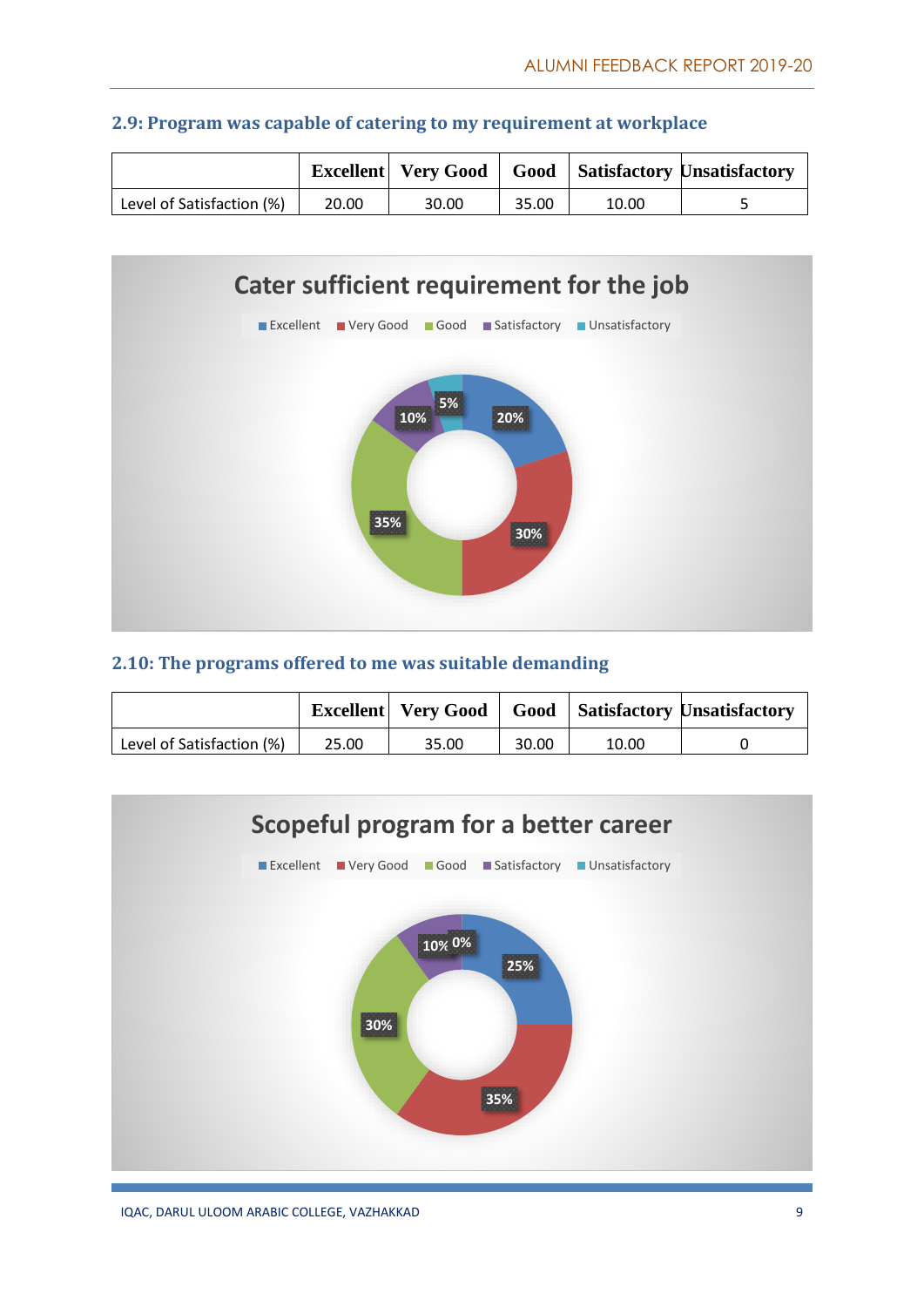|                           |       |       |       |       | <b>Excellent</b>   Very Good   Good   Satisfactory Unsatisfactory |
|---------------------------|-------|-------|-------|-------|-------------------------------------------------------------------|
| Level of Satisfaction (%) | 20.00 | 30.00 | 35.00 | 10.00 |                                                                   |





#### **2.10: The programs offered to me was suitable demanding**

|                           |       | Excellent   Very Good |       |       | <b>Good</b> Satisfactory Unsatisfactory |
|---------------------------|-------|-----------------------|-------|-------|-----------------------------------------|
| Level of Satisfaction (%) | 25.00 | 35.00                 | 30.00 | 10.00 |                                         |